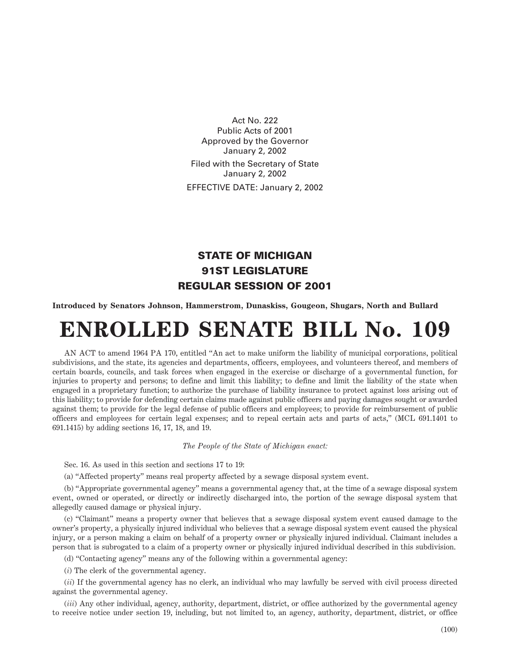Act No. 222 Public Acts of 2001 Approved by the Governor January 2, 2002 Filed with the Secretary of State January 2, 2002 EFFECTIVE DATE: January 2, 2002

## STATE OF MICHIGAN 91ST LEGISLATURE REGULAR SESSION OF 2001

**Introduced by Senators Johnson, Hammerstrom, Dunaskiss, Gougeon, Shugars, North and Bullard**

## **ENROLLED SENATE BILL No. 109**

AN ACT to amend 1964 PA 170, entitled "An act to make uniform the liability of municipal corporations, political subdivisions, and the state, its agencies and departments, officers, employees, and volunteers thereof, and members of certain boards, councils, and task forces when engaged in the exercise or discharge of a governmental function, for injuries to property and persons; to define and limit this liability; to define and limit the liability of the state when engaged in a proprietary function; to authorize the purchase of liability insurance to protect against loss arising out of this liability; to provide for defending certain claims made against public officers and paying damages sought or awarded against them; to provide for the legal defense of public officers and employees; to provide for reimbursement of public officers and employees for certain legal expenses; and to repeal certain acts and parts of acts," (MCL 691.1401 to 691.1415) by adding sections 16, 17, 18, and 19.

*The People of the State of Michigan enact:*

Sec. 16. As used in this section and sections 17 to 19:

(a) "Affected property" means real property affected by a sewage disposal system event.

(b) "Appropriate governmental agency" means a governmental agency that, at the time of a sewage disposal system event, owned or operated, or directly or indirectly discharged into, the portion of the sewage disposal system that allegedly caused damage or physical injury.

(c) "Claimant" means a property owner that believes that a sewage disposal system event caused damage to the owner's property, a physically injured individual who believes that a sewage disposal system event caused the physical injury, or a person making a claim on behalf of a property owner or physically injured individual. Claimant includes a person that is subrogated to a claim of a property owner or physically injured individual described in this subdivision.

(d) "Contacting agency" means any of the following within a governmental agency:

(*i*) The clerk of the governmental agency.

(*ii*) If the governmental agency has no clerk, an individual who may lawfully be served with civil process directed against the governmental agency.

(*iii*) Any other individual, agency, authority, department, district, or office authorized by the governmental agency to receive notice under section 19, including, but not limited to, an agency, authority, department, district, or office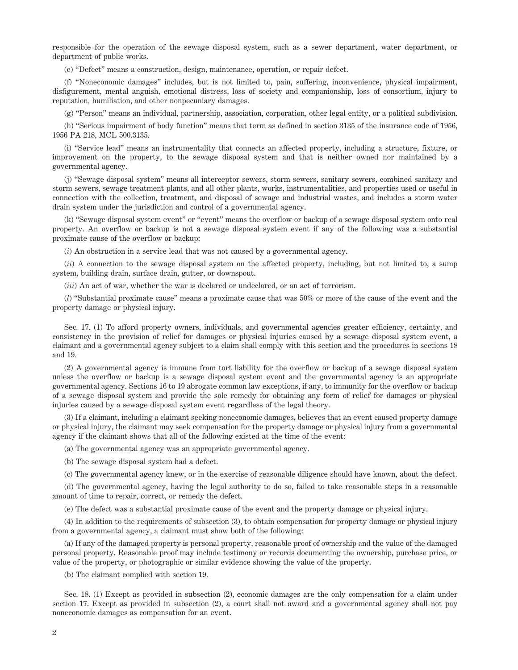responsible for the operation of the sewage disposal system, such as a sewer department, water department, or department of public works.

(e) "Defect" means a construction, design, maintenance, operation, or repair defect.

(f) "Noneconomic damages" includes, but is not limited to, pain, suffering, inconvenience, physical impairment, disfigurement, mental anguish, emotional distress, loss of society and companionship, loss of consortium, injury to reputation, humiliation, and other nonpecuniary damages.

(g) "Person" means an individual, partnership, association, corporation, other legal entity, or a political subdivision.

(h) "Serious impairment of body function" means that term as defined in section 3135 of the insurance code of 1956, 1956 PA 218, MCL 500.3135.

(i) "Service lead" means an instrumentality that connects an affected property, including a structure, fixture, or improvement on the property, to the sewage disposal system and that is neither owned nor maintained by a governmental agency.

(j) "Sewage disposal system" means all interceptor sewers, storm sewers, sanitary sewers, combined sanitary and storm sewers, sewage treatment plants, and all other plants, works, instrumentalities, and properties used or useful in connection with the collection, treatment, and disposal of sewage and industrial wastes, and includes a storm water drain system under the jurisdiction and control of a governmental agency.

(k) "Sewage disposal system event" or "event" means the overflow or backup of a sewage disposal system onto real property. An overflow or backup is not a sewage disposal system event if any of the following was a substantial proximate cause of the overflow or backup:

(*i*) An obstruction in a service lead that was not caused by a governmental agency.

(*ii*) A connection to the sewage disposal system on the affected property, including, but not limited to, a sump system, building drain, surface drain, gutter, or downspout.

(*iii*) An act of war, whether the war is declared or undeclared, or an act of terrorism.

(*l*) "Substantial proximate cause" means a proximate cause that was 50% or more of the cause of the event and the property damage or physical injury.

Sec. 17. (1) To afford property owners, individuals, and governmental agencies greater efficiency, certainty, and consistency in the provision of relief for damages or physical injuries caused by a sewage disposal system event, a claimant and a governmental agency subject to a claim shall comply with this section and the procedures in sections 18 and 19.

(2) A governmental agency is immune from tort liability for the overflow or backup of a sewage disposal system unless the overflow or backup is a sewage disposal system event and the governmental agency is an appropriate governmental agency. Sections 16 to 19 abrogate common law exceptions, if any, to immunity for the overflow or backup of a sewage disposal system and provide the sole remedy for obtaining any form of relief for damages or physical injuries caused by a sewage disposal system event regardless of the legal theory.

(3) If a claimant, including a claimant seeking noneconomic damages, believes that an event caused property damage or physical injury, the claimant may seek compensation for the property damage or physical injury from a governmental agency if the claimant shows that all of the following existed at the time of the event:

(a) The governmental agency was an appropriate governmental agency.

(b) The sewage disposal system had a defect.

(c) The governmental agency knew, or in the exercise of reasonable diligence should have known, about the defect.

(d) The governmental agency, having the legal authority to do so, failed to take reasonable steps in a reasonable amount of time to repair, correct, or remedy the defect.

(e) The defect was a substantial proximate cause of the event and the property damage or physical injury.

(4) In addition to the requirements of subsection (3), to obtain compensation for property damage or physical injury from a governmental agency, a claimant must show both of the following:

(a) If any of the damaged property is personal property, reasonable proof of ownership and the value of the damaged personal property. Reasonable proof may include testimony or records documenting the ownership, purchase price, or value of the property, or photographic or similar evidence showing the value of the property.

(b) The claimant complied with section 19.

Sec. 18. (1) Except as provided in subsection (2), economic damages are the only compensation for a claim under section 17. Except as provided in subsection (2), a court shall not award and a governmental agency shall not pay noneconomic damages as compensation for an event.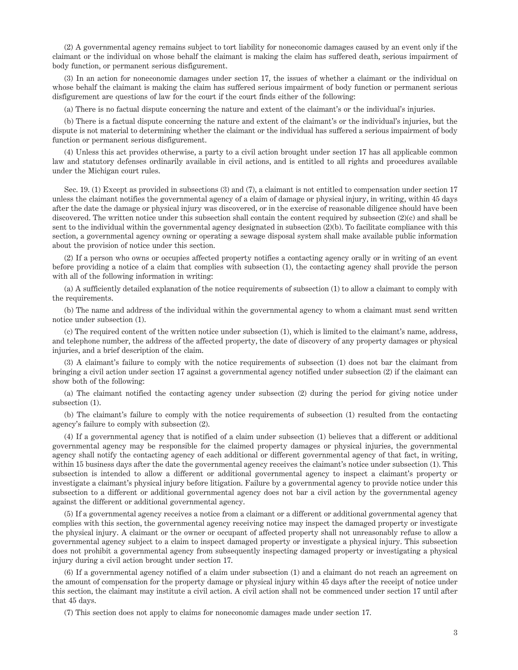(2) A governmental agency remains subject to tort liability for noneconomic damages caused by an event only if the claimant or the individual on whose behalf the claimant is making the claim has suffered death, serious impairment of body function, or permanent serious disfigurement.

(3) In an action for noneconomic damages under section 17, the issues of whether a claimant or the individual on whose behalf the claimant is making the claim has suffered serious impairment of body function or permanent serious disfigurement are questions of law for the court if the court finds either of the following:

(a) There is no factual dispute concerning the nature and extent of the claimant's or the individual's injuries.

(b) There is a factual dispute concerning the nature and extent of the claimant's or the individual's injuries, but the dispute is not material to determining whether the claimant or the individual has suffered a serious impairment of body function or permanent serious disfigurement.

(4) Unless this act provides otherwise, a party to a civil action brought under section 17 has all applicable common law and statutory defenses ordinarily available in civil actions, and is entitled to all rights and procedures available under the Michigan court rules.

Sec. 19. (1) Except as provided in subsections (3) and (7), a claimant is not entitled to compensation under section 17 unless the claimant notifies the governmental agency of a claim of damage or physical injury, in writing, within 45 days after the date the damage or physical injury was discovered, or in the exercise of reasonable diligence should have been discovered. The written notice under this subsection shall contain the content required by subsection (2)(c) and shall be sent to the individual within the governmental agency designated in subsection (2)(b). To facilitate compliance with this section, a governmental agency owning or operating a sewage disposal system shall make available public information about the provision of notice under this section.

(2) If a person who owns or occupies affected property notifies a contacting agency orally or in writing of an event before providing a notice of a claim that complies with subsection (1), the contacting agency shall provide the person with all of the following information in writing:

(a) A sufficiently detailed explanation of the notice requirements of subsection (1) to allow a claimant to comply with the requirements.

(b) The name and address of the individual within the governmental agency to whom a claimant must send written notice under subsection (1).

(c) The required content of the written notice under subsection (1), which is limited to the claimant's name, address, and telephone number, the address of the affected property, the date of discovery of any property damages or physical injuries, and a brief description of the claim.

(3) A claimant's failure to comply with the notice requirements of subsection (1) does not bar the claimant from bringing a civil action under section 17 against a governmental agency notified under subsection (2) if the claimant can show both of the following:

(a) The claimant notified the contacting agency under subsection (2) during the period for giving notice under subsection (1).

(b) The claimant's failure to comply with the notice requirements of subsection (1) resulted from the contacting agency's failure to comply with subsection (2).

(4) If a governmental agency that is notified of a claim under subsection (1) believes that a different or additional governmental agency may be responsible for the claimed property damages or physical injuries, the governmental agency shall notify the contacting agency of each additional or different governmental agency of that fact, in writing, within 15 business days after the date the governmental agency receives the claimant's notice under subsection (1). This subsection is intended to allow a different or additional governmental agency to inspect a claimant's property or investigate a claimant's physical injury before litigation. Failure by a governmental agency to provide notice under this subsection to a different or additional governmental agency does not bar a civil action by the governmental agency against the different or additional governmental agency.

(5) If a governmental agency receives a notice from a claimant or a different or additional governmental agency that complies with this section, the governmental agency receiving notice may inspect the damaged property or investigate the physical injury. A claimant or the owner or occupant of affected property shall not unreasonably refuse to allow a governmental agency subject to a claim to inspect damaged property or investigate a physical injury. This subsection does not prohibit a governmental agency from subsequently inspecting damaged property or investigating a physical injury during a civil action brought under section 17.

(6) If a governmental agency notified of a claim under subsection (1) and a claimant do not reach an agreement on the amount of compensation for the property damage or physical injury within 45 days after the receipt of notice under this section, the claimant may institute a civil action. A civil action shall not be commenced under section 17 until after that 45 days.

(7) This section does not apply to claims for noneconomic damages made under section 17.